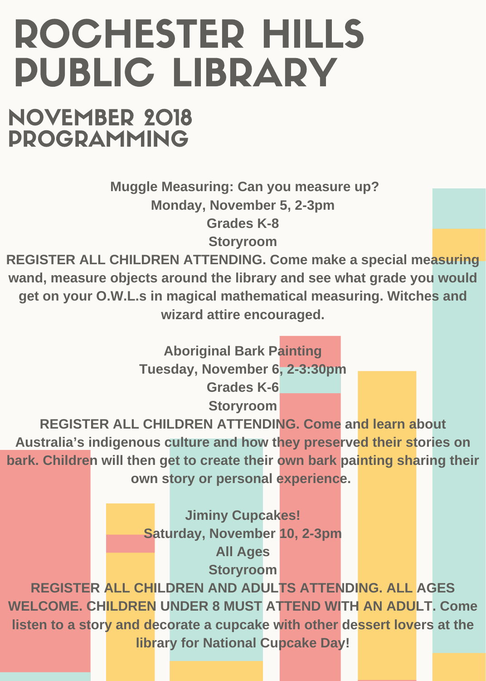## ROCHESTER HILLS PUBLIC LIBRARY

NOVEMBER 2018 PROGRAMMING

> **Muggle Measuring: Can you measure up? Monday, November 5, 2-3pm Grades K-8**

**Storyroom**

**REGISTER ALL CHILDREN ATTENDING. Come make a special measuring wand, measure objects around the library and see what grade you would get on your O.W.L.s in magical mathematical measuring. Witches and wizard attire encouraged.**

> **Aboriginal Bark Painting Tuesday, November 6, 2-3:30pm Grades K-6**

> > **Storyroom**

**REGISTER ALL CHILDREN ATTENDING. Come and learn about Australia's indigenous culture and how they preserved their stories on bark. Children will then get to create their own bark painting sharing their own story or personal experience.**

> **Jiminy Cupcakes! Saturday, November 10, 2-3pm All Ages Storyroom**

**REGISTER ALL CHILDREN AND ADULTS ATTENDING. ALL AGES WELCOME. CHILDREN UNDER 8 MUST ATTEND WITH AN ADULT. Come listen to a story and decorate a cupcake with other dessert lovers at the library for National Cupcake Day!**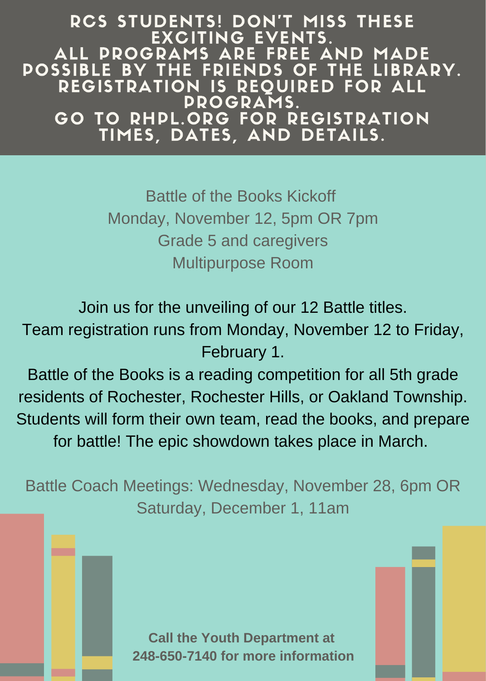RCS STUDENTS! DON'T MISS THESE EXCITING EVENTS. ALL PROGRAMS ARE FREE AND MADE POSSIBLE BY THE FRIENDS OF THE LIBRARY. REGISTRATION IS REQUIRED FOR ALL PROGRAMS. GO TO RHPL.ORG FOR REGISTRATION TIMES, DATES, AND DETAILS.

> Battle of the Books Kickoff Monday, November 12, 5pm OR 7pm Grade 5 and caregivers Multipurpose Room

Join us for the unveiling of our 12 Battle titles. Team registration runs from Monday, November 12 to Friday, February 1.

Battle of the Books is a reading competition for all 5th grade residents of Rochester, Rochester Hills, or Oakland Township. Students will form their own team, read the books, and prepare for battle! The epic showdown takes place in March.

Battle Coach Meetings: Wednesday, November 28, 6pm OR Saturday, December 1, 11am

> **Call the Youth Department at 248-650-7140 for more information**